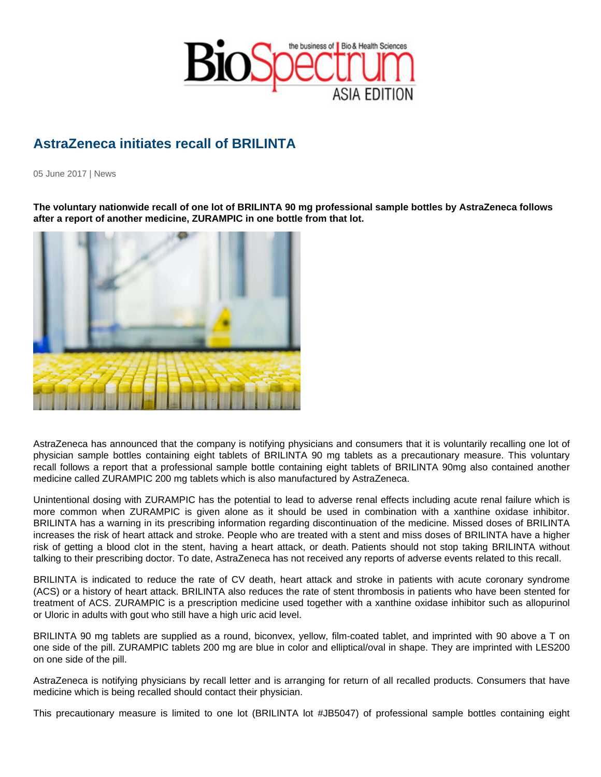## AstraZeneca initiates recall of BRILINTA

05 June 2017 | News

The voluntary nationwide recall of one lot of BRILINTA 90 mg professional sample bottles by AstraZeneca follows after a report of another medicine, ZURAMPIC in one bottle from that lot.

AstraZeneca has announced that the company is notifying physicians and consumers that it is voluntarily recalling one lot of physician sample bottles containing eight tablets of BRILINTA 90 mg tablets as a precautionary measure. This voluntary recall follows a report that a professional sample bottle containing eight tablets of BRILINTA 90mg also contained another medicine called ZURAMPIC 200 mg tablets which is also manufactured by AstraZeneca.

Unintentional dosing with ZURAMPIC has the potential to lead to adverse renal effects including acute renal failure which is more common when ZURAMPIC is given alone as it should be used in combination with a xanthine oxidase inhibitor. BRILINTA has a warning in its prescribing information regarding discontinuation of the medicine. Missed doses of BRILINTA increases the risk of heart attack and stroke. People who are treated with a stent and miss doses of BRILINTA have a higher risk of getting a blood clot in the stent, having a heart attack, or death. Patients should not stop taking BRILINTA without talking to their prescribing doctor. To date, AstraZeneca has not received any reports of adverse events related to this recall.

BRILINTA is indicated to reduce the rate of CV death, heart attack and stroke in patients with acute coronary syndrome (ACS) or a history of heart attack. BRILINTA also reduces the rate of stent thrombosis in patients who have been stented for treatment of ACS. ZURAMPIC is a prescription medicine used together with a xanthine oxidase inhibitor such as allopurinol or Uloric in adults with gout who still have a high uric acid level.

BRILINTA 90 mg tablets are supplied as a round, biconvex, yellow, film-coated tablet, and imprinted with 90 above a T on one side of the pill. ZURAMPIC tablets 200 mg are blue in color and elliptical/oval in shape. They are imprinted with LES200 on one side of the pill.

AstraZeneca is notifying physicians by recall letter and is arranging for return of all recalled products. Consumers that have medicine which is being recalled should contact their physician.

This precautionary measure is limited to one lot (BRILINTA lot #JB5047) of professional sample bottles containing eight